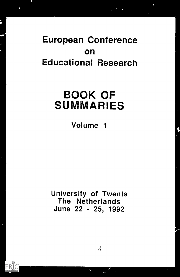# European Conference on Educational Research

# BOOK OF SUMMARIES

## Volume 1

University of Twente The Netherlands June 22 - 25, 1992

 $\bullet$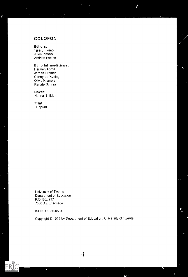### COLOFON

Editors: Tjeerd Plomp Jules Pieters Andries Feteris

#### Editorial assistance:

Harmen Abma Jeroen Breman Conny de Koning Olivia Kramers Renate Schraa

Cover: Hanna Snijder

Print: Duoprint

University of Twente Department of Education P.O. Box 217 7500 AE Enschede

ISBN 90-365-0534-8

Copyright © 1992 by Department of Education, University of Twente

 $\mathbf{H}$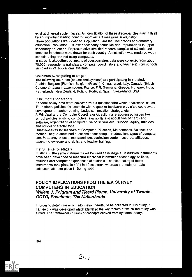exist at different system levels. An Identification of these discrepancies may in Itself be an important starting point for improvement measures in education. Three populations wel'a defined. Population I are the final grades of elementary education. Population II is lower secondary education and Population III is upper secondary education. Representative stratified random samples of schools and teachers in schools were drawn for each country. A distinction was made between schools using and not using computers.

In stage 1, altogether, by means of questionnaires data were collected from about 70.000 respondents (principals, computer coordinators and teachers) from schools sampled in 21 educational systems.

#### Countries participating In stage 1

The following countries (educational systems) are participating in the study: Austria, Belgium (Flemish),Belgium (French), China, Israel, Italy, Canada (British Columbia), Japan, Luxembourg, France, F.R. Germany, Greece, Hungary, India, Netherlands, New Zealand, Poland, Portugal, Spain, Switzerland, USA.

#### Instruments for stage 1

National policy data were collected with a questionnaire which addressed issues like, national policies, for example with respect to hardware provision, courseware development, teacher training, budgets, innovation strategy, etc.

A Principal and a Computer Coordinator Questionnaire addressed issues like school policies in using computers, availability and acquisition of hard- and software, organization of computer use on school level, support, equity, attitudes and school characteristics.

Questionnaires for teachers of Computer Education, Mathematics, Science and Mother Tongue contained questions about computer education, types of computer use, frequency of use, time spenditure, curriculum content covered, attitudes, teacher knowledge and skills, and teacher training.

#### Instruments for stage 2

In stage 2, the same Instruments will be used as in stage 1. In addition instruments have been developed to measure functional information technology abilities, attitudes and computer experiences of students. The pilot testing of these instruments took place in 1991 in 10 countries, whereas the main run data collection will take place in Spring 1992.

### POLICY IMPLICATIONS FROM THE lEA SURVEY COMPUTERS IN EDUCATION Willem J. Pelgrum and Tjeerd Plomp, University of Twente-OCTO, Enschede, The Netherlands

In order to determine which information needed to be collected in this study, a framework was developed which identified the key factors at which the study was aimed. The framework consists of concepts derivod from systems theory,

 $20.7 - 10.1$ 

 $\bullet$